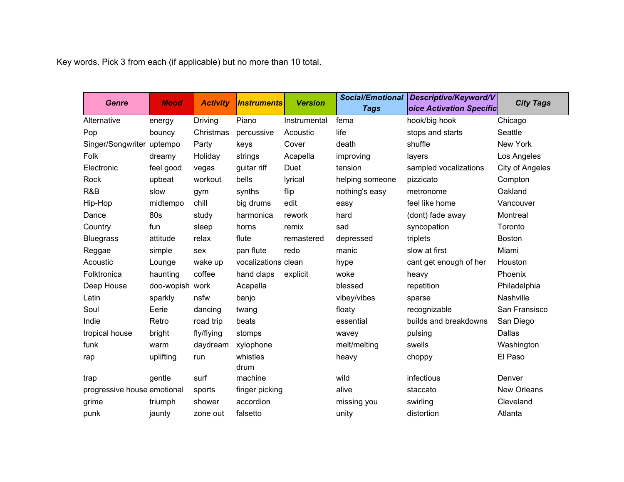Key words. Pick 3 from each (if applicable) but no more than 10 total.

| <b>Genre</b>                | <b>Mood</b>     | <b>Activity</b> | <i><b>Instruments</b></i> | <b>Version</b> | <b>Social/Emotional</b><br><b>Tags</b> | Descriptive/Keyword/V<br>oice Activation Specific | <b>City Tags</b>       |
|-----------------------------|-----------------|-----------------|---------------------------|----------------|----------------------------------------|---------------------------------------------------|------------------------|
| Alternative                 | energy          | Driving         | Piano                     | Instrumental   | fema                                   | hook/big hook                                     | Chicago                |
| Pop                         | bouncy          | Christmas       | percussive                | Acoustic       | life                                   | stops and starts                                  | Seattle                |
| Singer/Songwriter uptempo   |                 | Party           | keys                      | Cover          | death                                  | shuffle                                           | New York               |
| Folk                        | dreamy          | Holiday         | strings                   | Acapella       | improving                              | layers                                            | Los Angeles            |
| Electronic                  | feel good       | vegas           | guitar riff               | Duet           | tension                                | sampled vocalizations                             | <b>City of Angeles</b> |
| Rock                        | upbeat          | workout         | bells                     | lyrical        | helping someone                        | pizzicato                                         | Compton                |
| R&B                         | slow            | gym             | synths                    | flip           | nothing's easy                         | metronome                                         | Oakland                |
| Hip-Hop                     | midtempo        | chill           | big drums                 | edit           | easy                                   | feel like home                                    | Vancouver              |
| Dance                       | 80s             | study           | harmonica                 | rework         | hard                                   | (dont) fade away                                  | Montreal               |
| Country                     | fun             | sleep           | horns                     | remix          | sad                                    | syncopation                                       | Toronto                |
| <b>Bluegrass</b>            | attitude        | relax           | flute                     | remastered     | depressed                              | triplets                                          | <b>Boston</b>          |
| Reggae                      | simple          | sex             | pan flute                 | redo           | manic                                  | slow at first                                     | Miami                  |
| Acoustic                    | Lounge          | wake up         | vocalizations clean       |                | hype                                   | cant get enough of her                            | Houston                |
| Folktronica                 | haunting        | coffee          | hand claps                | explicit       | woke                                   | heavy                                             | Phoenix                |
| Deep House                  | doo-wopish work |                 | Acapella                  |                | blessed                                | repetition                                        | Philadelphia           |
| Latin                       | sparkly         | nsfw            | banjo                     |                | vibey/vibes                            | sparse                                            | Nashville              |
| Soul                        | Eerie           | dancing         | twang                     |                | floaty                                 | recognizable                                      | San Fransisco          |
| Indie                       | Retro           | road trip       | beats                     |                | essential                              | builds and breakdowns                             | San Diego              |
| tropical house              | bright          | fly/flying      | stomps                    |                | wavey                                  | pulsing                                           | Dallas                 |
| funk                        | warm            | daydream        | xylophone                 |                | melt/melting                           | swells                                            | Washington             |
| rap                         | uplifting       | run             | whistles<br>drum          |                | heavy                                  | choppy                                            | El Paso                |
| trap                        | gentle          | surf            | machine                   |                | wild                                   | infectious                                        | Denver                 |
| progressive house emotional |                 | sports          | finger picking            |                | alive                                  | staccato                                          | New Orleans            |
| grime                       | triumph         | shower          | accordion                 |                | missing you                            | swirling                                          | Cleveland              |
| punk                        | jaunty          | zone out        | falsetto                  |                | unity                                  | distortion                                        | Atlanta                |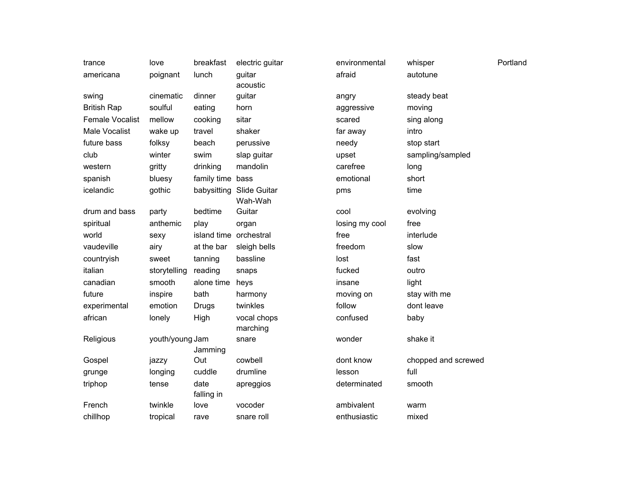| trance                 | love            | breakfast              | electric guitar         | environmental  | whisper             | Portland |
|------------------------|-----------------|------------------------|-------------------------|----------------|---------------------|----------|
| americana              | poignant        | lunch                  | guitar<br>acoustic      | afraid         | autotune            |          |
| swing                  | cinematic       | dinner                 | guitar                  | angry          | steady beat         |          |
| <b>British Rap</b>     | soulful         | eating                 | horn                    | aggressive     | moving              |          |
| <b>Female Vocalist</b> | mellow          | cooking                | sitar                   | scared         | sing along          |          |
| Male Vocalist          | wake up         | travel                 | shaker                  | far away       | intro               |          |
| future bass            | folksy          | beach                  | perussive               | needy          | stop start          |          |
| club                   | winter          | swim                   | slap guitar             | upset          | sampling/sampled    |          |
| western                | gritty          | drinking               | mandolin                | carefree       | long                |          |
| spanish                | bluesy          | family time            | bass                    | emotional      | short               |          |
| icelandic              | gothic          | babysitting            | Slide Guitar<br>Wah-Wah | pms            | time                |          |
| drum and bass          | party           | bedtime                | Guitar                  | cool           | evolving            |          |
| spiritual              | anthemic        | play                   | organ                   | losing my cool | free                |          |
| world                  | sexy            | island time orchestral |                         | free           | interlude           |          |
| vaudeville             | airy            | at the bar             | sleigh bells            | freedom        | slow                |          |
| countryish             | sweet           | tanning                | bassline                | lost           | fast                |          |
| italian                | storytelling    | reading                | snaps                   | fucked         | outro               |          |
| canadian               | smooth          | alone time             | heys                    | insane         | light               |          |
| future                 | inspire         | bath                   | harmony                 | moving on      | stay with me        |          |
| experimental           | emotion         | Drugs                  | twinkles                | follow         | dont leave          |          |
| african                | lonely          | High                   | vocal chops<br>marching | confused       | baby                |          |
| Religious              | youth/young Jam | Jamming                | snare                   | wonder         | shake it            |          |
| Gospel                 | jazzy           | Out                    | cowbell                 | dont know      | chopped and screwed |          |
| grunge                 | longing         | cuddle                 | drumline                | lesson         | full                |          |
| triphop                | tense           | date<br>falling in     | apreggios               | determinated   | smooth              |          |
| French                 | twinkle         | love                   | vocoder                 | ambivalent     | warm                |          |
| chillhop               | tropical        | rave                   | snare roll              | enthusiastic   | mixed               |          |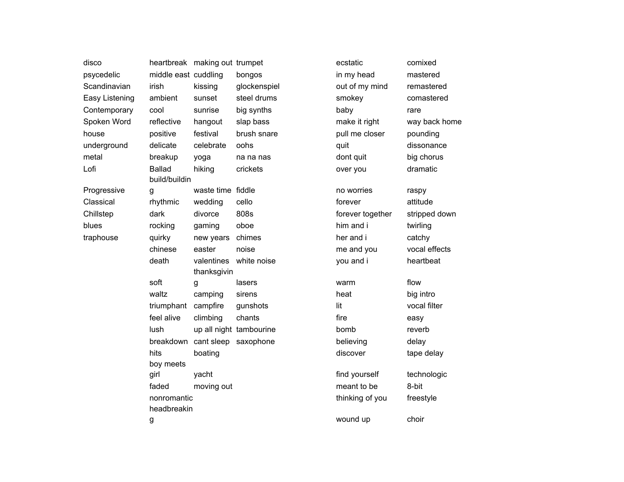| disco          | heartbreak making out trumpet |                      |                         | ecstatic         | comixed       |
|----------------|-------------------------------|----------------------|-------------------------|------------------|---------------|
| psycedelic     | middle east cuddling          |                      | bongos                  | in my head       | mastered      |
| Scandinavian   | irish                         | kissing              | glockenspiel            | out of my mind   | remastered    |
| Easy Listening | ambient                       | sunset               | steel drums             | smokey           | comastered    |
| Contemporary   | cool                          | sunrise              | big synths              | baby             | rare          |
| Spoken Word    | reflective                    | hangout              | slap bass               | make it right    | way back home |
| house          | positive                      | festival             | brush snare             | pull me closer   | pounding      |
| underground    | delicate                      | celebrate            | oohs                    | quit             | dissonance    |
| metal          | breakup                       | yoga                 | na na nas               | dont quit        | big chorus    |
| Lofi           | <b>Ballad</b>                 | hiking               | crickets                | over you         | dramatic      |
|                | build/buildin                 |                      |                         |                  |               |
| Progressive    | g                             | waste time fiddle    |                         | no worries       | raspy         |
| Classical      | rhythmic                      | wedding              | cello                   | forever          | attitude      |
| Chillstep      | dark                          | divorce              | 808s                    | forever together | stripped down |
| blues          | rocking                       | gaming               | oboe                    | him and i        | twirling      |
| traphouse      | quirky                        | new years            | chimes                  | her and i        | catchy        |
|                | chinese                       | easter               | noise                   | me and you       | vocal effects |
|                | death                         | valentines           | white noise             | you and i        | heartbeat     |
|                |                               | thanksgivin          |                         |                  |               |
|                | soft                          | g                    | lasers                  | warm             | flow          |
|                | waltz                         | camping              | sirens                  | heat             | big intro     |
|                | triumphant                    | campfire             | gunshots                | lit              | vocal filter  |
|                | feel alive                    | climbing             | chants                  | fire             | easy          |
|                | lush                          |                      | up all night tambourine | bomb             | reverb        |
|                | breakdown                     | cant sleep saxophone |                         | believing        | delay         |
|                | hits                          | boating              |                         | discover         | tape delay    |
|                | boy meets                     |                      |                         |                  |               |
|                | girl                          | yacht                |                         | find yourself    | technologic   |
|                | faded                         | moving out           |                         | meant to be      | 8-bit         |
|                | nonromantic                   |                      |                         | thinking of you  | freestyle     |
|                | headbreakin                   |                      |                         |                  | choir         |
|                | g                             |                      |                         | wound up         |               |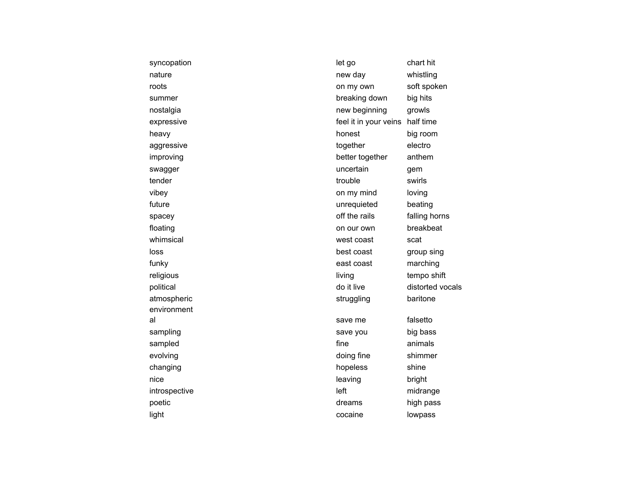| syncopation   | let go                | chart hit        |
|---------------|-----------------------|------------------|
| nature        | new day               | whistling        |
| roots         | on my own             | soft spoken      |
| summer        | breaking down         | big hits         |
| nostalgia     | new beginning         | growls           |
| expressive    | feel it in your veins | half time        |
| heavy         | honest                | big room         |
| aggressive    | together              | electro          |
| improving     | better together       | anthem           |
| swagger       | uncertain             | gem              |
| tender        | trouble               | swirls           |
| vibey         | on my mind            | loving           |
| future        | unrequieted           | beating          |
| spacey        | off the rails         | falling horns    |
| floating      | on our own            | breakbeat        |
| whimsical     | west coast            | scat             |
| loss          | best coast            | group sing       |
| funky         | east coast            | marching         |
| religious     | living                | tempo shift      |
| political     | do it live            | distorted vocals |
| atmospheric   | struggling            | baritone         |
| environment   |                       |                  |
| al            | save me               | falsetto         |
| sampling      | save you              | big bass         |
| sampled       | fine                  | animals          |
| evolving      | doing fine            | shimmer          |
| changing      | hopeless              | shine            |
| nice          | leaving               | bright           |
| introspective | left                  | midrange         |
| poetic        | dreams                | high pass        |
| light         | cocaine               | lowpass          |
|               |                       |                  |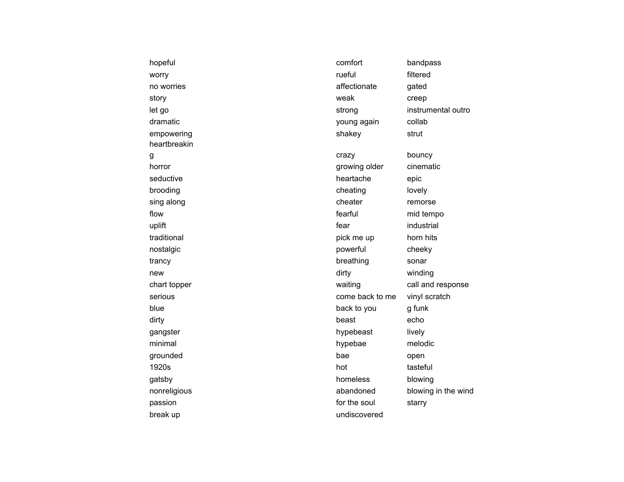| hopeful      | comfort         | bandpass            |
|--------------|-----------------|---------------------|
| worry        | rueful          | filtered            |
| no worries   | affectionate    | gated               |
| story        | weak            | creep               |
| let go       | strong          | instrumental outro  |
| dramatic     | young again     | collab              |
| empowering   | shakey          | strut               |
| heartbreakin |                 |                     |
| g            | crazy           | bouncy              |
| horror       | growing older   | cinematic           |
| seductive    | heartache       | epic                |
| brooding     | cheating        | lovely              |
| sing along   | cheater         | remorse             |
| flow         | fearful         | mid tempo           |
| uplift       | fear            | industrial          |
| traditional  | pick me up      | horn hits           |
| nostalgic    | powerful        | cheeky              |
| trancy       | breathing       | sonar               |
| new          | dirty           | winding             |
| chart topper | waiting         | call and response   |
| serious      | come back to me | vinyl scratch       |
| blue         | back to you     | g funk              |
| dirty        | beast           | echo                |
| gangster     | hypebeast       | lively              |
| minimal      | hypebae         | melodic             |
| grounded     | bae             | open                |
| 1920s        | hot             | tasteful            |
| gatsby       | homeless        | blowing             |
| nonreligious | abandoned       | blowing in the wind |
| passion      | for the soul    | starry              |
| break up     | undiscovered    |                     |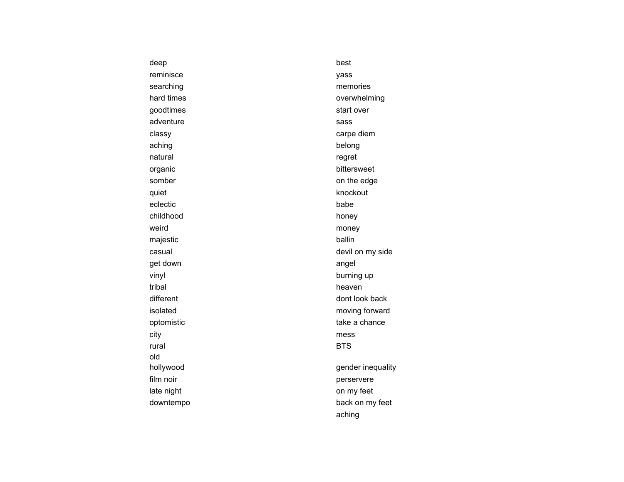| deep       | best              |
|------------|-------------------|
| reminisce  | yass              |
| searching  | memories          |
| hard times | overwhelming      |
| goodtimes  | start over        |
| adventure  | sass              |
| classy     | carpe diem        |
| aching     | belong            |
| natural    | regret            |
| organic    | bittersweet       |
| somber     | on the edge       |
| quiet      | knockout          |
| eclectic   | babe              |
| childhood  | honey             |
| weird      | money             |
| majestic   | ballin            |
| casual     | devil on my side  |
| get down   | angel             |
| vinyl      | burning up        |
| tribal     | heaven            |
| different  | dont look back    |
| isolated   | moving forward    |
| optomistic | take a chance     |
| city       | mess              |
| rural      | <b>BTS</b>        |
| old        |                   |
| hollywood  | gender inequality |
| film noir  | perservere        |
| late night | on my feet        |
| downtempo  | back on my feet   |
|            | aching            |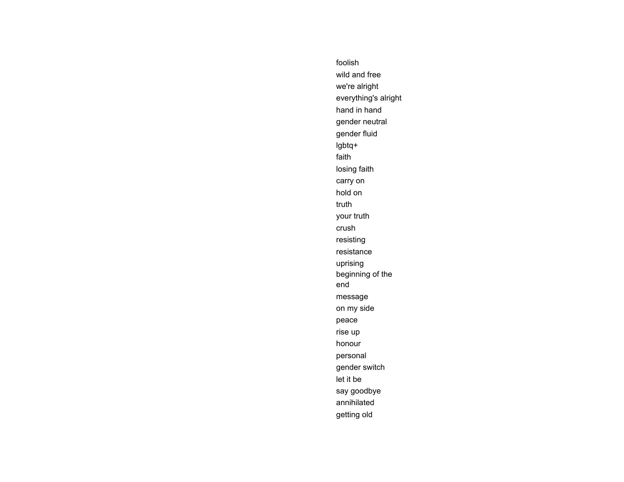foolish wild and free we're alright everything's alright hand in hand gender neutral gender fluid lgbtq+ faith losing faith carry on hold on truth your truth crush resisting resistance uprising beginning of the end message on my side peace rise up honour personal gender switch let it be say goodbye annihilated getting old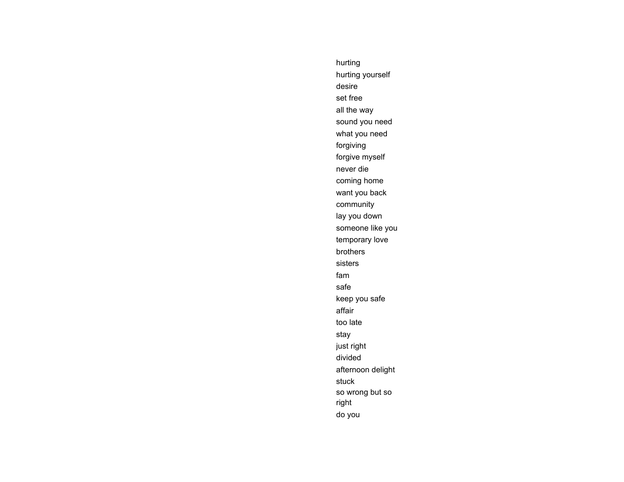hurting hurting yourself desire set free all the way sound you need what you need forgiving forgive myself never die coming home want you back community lay you down someone like you temporary love brothers sisters fam safe keep you safe affair too late stay just right divided afternoon delight stuck so wrong but so right do you